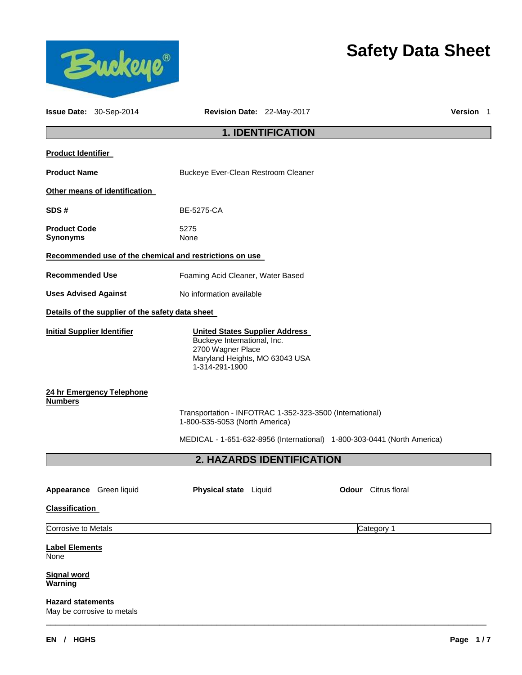

## **Safety Data Sheet**

|                                                     | Issue Date: 30-Sep-2014                          | Revision Date: 22-May-2017                                                                                                                                            |                           |  |                            | Version 1 |  |
|-----------------------------------------------------|--------------------------------------------------|-----------------------------------------------------------------------------------------------------------------------------------------------------------------------|---------------------------|--|----------------------------|-----------|--|
|                                                     |                                                  |                                                                                                                                                                       | <b>1. IDENTIFICATION</b>  |  |                            |           |  |
| <b>Product Identifier</b>                           |                                                  |                                                                                                                                                                       |                           |  |                            |           |  |
| <b>Product Name</b>                                 |                                                  | Buckeye Ever-Clean Restroom Cleaner                                                                                                                                   |                           |  |                            |           |  |
|                                                     | Other means of identification                    |                                                                                                                                                                       |                           |  |                            |           |  |
| SDS#<br><b>BE-5275-CA</b>                           |                                                  |                                                                                                                                                                       |                           |  |                            |           |  |
| <b>Product Code</b><br><b>Synonyms</b>              |                                                  | 5275<br>None                                                                                                                                                          |                           |  |                            |           |  |
|                                                     |                                                  | Recommended use of the chemical and restrictions on use                                                                                                               |                           |  |                            |           |  |
| <b>Recommended Use</b>                              |                                                  | Foaming Acid Cleaner, Water Based                                                                                                                                     |                           |  |                            |           |  |
| <b>Uses Advised Against</b>                         |                                                  | No information available                                                                                                                                              |                           |  |                            |           |  |
|                                                     | Details of the supplier of the safety data sheet |                                                                                                                                                                       |                           |  |                            |           |  |
| <b>Initial Supplier Identifier</b>                  |                                                  | <b>United States Supplier Address</b><br>Buckeye International, Inc.<br>2700 Wagner Place<br>Maryland Heights, MO 63043 USA<br>1-314-291-1900                         |                           |  |                            |           |  |
| <b>Numbers</b>                                      | 24 hr Emergency Telephone                        | Transportation - INFOTRAC 1-352-323-3500 (International)<br>1-800-535-5053 (North America)<br>MEDICAL - 1-651-632-8956 (International) 1-800-303-0441 (North America) |                           |  |                            |           |  |
|                                                     |                                                  |                                                                                                                                                                       | 2. HAZARDS IDENTIFICATION |  |                            |           |  |
| <b>Classification</b>                               | Appearance Green liquid                          | Physical state Liquid                                                                                                                                                 |                           |  | <b>Odour</b> Citrus floral |           |  |
| <b>Corrosive to Metals</b>                          |                                                  |                                                                                                                                                                       |                           |  | Category 1                 |           |  |
| <b>Label Elements</b><br>None<br><b>Signal word</b> |                                                  |                                                                                                                                                                       |                           |  |                            |           |  |
| Warning<br><b>Hazard statements</b>                 | May be corrosive to metals                       |                                                                                                                                                                       |                           |  |                            |           |  |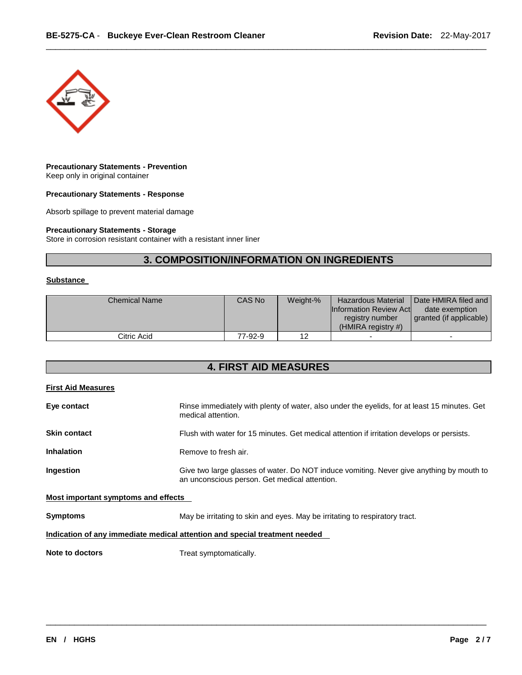

#### **Precautionary Statements - Prevention** Keep only in original container

**Precautionary Statements - Response**

Absorb spillage to prevent material damage

#### **Precautionary Statements - Storage**

Store in corrosion resistant container with a resistant inner liner

### **3. COMPOSITION/INFORMATION ON INGREDIENTS**

\_\_\_\_\_\_\_\_\_\_\_\_\_\_\_\_\_\_\_\_\_\_\_\_\_\_\_\_\_\_\_\_\_\_\_\_\_\_\_\_\_\_\_\_\_\_\_\_\_\_\_\_\_\_\_\_\_\_\_\_\_\_\_\_\_\_\_\_\_\_\_\_\_\_\_\_\_\_\_\_\_\_\_\_\_\_\_\_\_\_\_\_\_

#### **Substance**

| <b>Chemical Name</b> | CAS No  | Weight-% | <b>Hazardous Material</b><br><b>Information Review Actl</b><br>registry number<br>$(HMIRA$ registry #) | Date HMIRA filed and<br>date exemption<br>granted (if applicable) |
|----------------------|---------|----------|--------------------------------------------------------------------------------------------------------|-------------------------------------------------------------------|
| Citric Acid          | 77-92-9 |          | $\overline{\phantom{0}}$                                                                               |                                                                   |

#### **4. FIRST AID MEASURES**

| <b>First Aid Measures</b>           |                                                                                                                                           |  |
|-------------------------------------|-------------------------------------------------------------------------------------------------------------------------------------------|--|
| Eye contact                         | Rinse immediately with plenty of water, also under the eyelids, for at least 15 minutes. Get<br>medical attention.                        |  |
| <b>Skin contact</b>                 | Flush with water for 15 minutes. Get medical attention if irritation develops or persists.                                                |  |
| <b>Inhalation</b>                   | Remove to fresh air.                                                                                                                      |  |
| Ingestion                           | Give two large glasses of water. Do NOT induce vomiting. Never give anything by mouth to<br>an unconscious person. Get medical attention. |  |
| Most important symptoms and effects |                                                                                                                                           |  |
| <b>Symptoms</b>                     | May be irritating to skin and eyes. May be irritating to respiratory tract.                                                               |  |
|                                     | Indication of any immediate medical attention and special treatment needed                                                                |  |
| Note to doctors                     | Treat symptomatically.                                                                                                                    |  |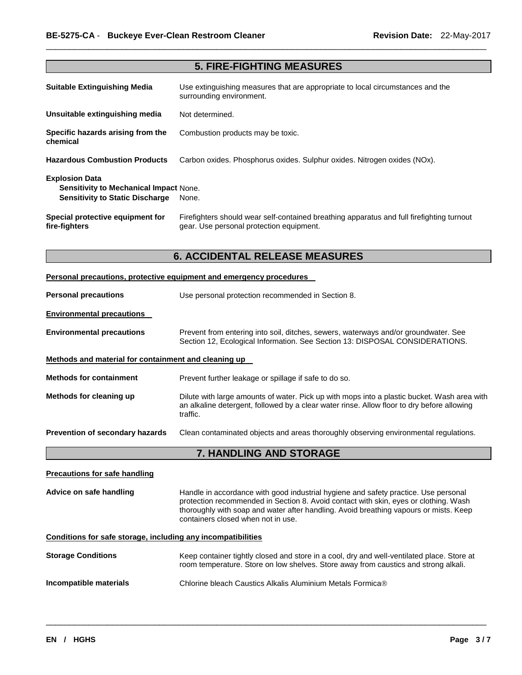| <b>5. FIRE-FIGHTING MEASURES</b>                                                                                 |                                                                                                                                       |  |  |
|------------------------------------------------------------------------------------------------------------------|---------------------------------------------------------------------------------------------------------------------------------------|--|--|
| Suitable Extinguishing Media                                                                                     | Use extinguishing measures that are appropriate to local circumstances and the<br>surrounding environment.                            |  |  |
| Unsuitable extinguishing media                                                                                   | Not determined.                                                                                                                       |  |  |
| Specific hazards arising from the<br>chemical                                                                    | Combustion products may be toxic.                                                                                                     |  |  |
| <b>Hazardous Combustion Products</b>                                                                             | Carbon oxides. Phosphorus oxides. Sulphur oxides. Nitrogen oxides (NOx).                                                              |  |  |
| <b>Explosion Data</b><br><b>Sensitivity to Mechanical Impact None.</b><br><b>Sensitivity to Static Discharge</b> | None.                                                                                                                                 |  |  |
| Special protective equipment for<br>fire-fighters                                                                | Firefighters should wear self-contained breathing apparatus and full firefighting turnout<br>gear. Use personal protection equipment. |  |  |

\_\_\_\_\_\_\_\_\_\_\_\_\_\_\_\_\_\_\_\_\_\_\_\_\_\_\_\_\_\_\_\_\_\_\_\_\_\_\_\_\_\_\_\_\_\_\_\_\_\_\_\_\_\_\_\_\_\_\_\_\_\_\_\_\_\_\_\_\_\_\_\_\_\_\_\_\_\_\_\_\_\_\_\_\_\_\_\_\_\_\_\_\_

## **6. ACCIDENTAL RELEASE MEASURES**

| Personal precautions, protective equipment and emergency procedures                                                                                                                                                              |                                                                                                                                                                                                                                                                      |  |  |  |
|----------------------------------------------------------------------------------------------------------------------------------------------------------------------------------------------------------------------------------|----------------------------------------------------------------------------------------------------------------------------------------------------------------------------------------------------------------------------------------------------------------------|--|--|--|
| <b>Personal precautions</b>                                                                                                                                                                                                      | Use personal protection recommended in Section 8.                                                                                                                                                                                                                    |  |  |  |
| <b>Environmental precautions</b>                                                                                                                                                                                                 |                                                                                                                                                                                                                                                                      |  |  |  |
| <b>Environmental precautions</b>                                                                                                                                                                                                 | Prevent from entering into soil, ditches, sewers, waterways and/or groundwater. See<br>Section 12, Ecological Information. See Section 13: DISPOSAL CONSIDERATIONS.                                                                                                  |  |  |  |
| Methods and material for containment and cleaning up                                                                                                                                                                             |                                                                                                                                                                                                                                                                      |  |  |  |
| <b>Methods for containment</b><br>Prevent further leakage or spillage if safe to do so.                                                                                                                                          |                                                                                                                                                                                                                                                                      |  |  |  |
| Methods for cleaning up<br>Dilute with large amounts of water. Pick up with mops into a plastic bucket. Wash area with<br>an alkaline detergent, followed by a clear water rinse. Allow floor to dry before allowing<br>traffic. |                                                                                                                                                                                                                                                                      |  |  |  |
| Prevention of secondary hazards                                                                                                                                                                                                  | Clean contaminated objects and areas thoroughly observing environmental regulations.                                                                                                                                                                                 |  |  |  |
|                                                                                                                                                                                                                                  | 7. HANDLING AND STORAGE                                                                                                                                                                                                                                              |  |  |  |
| <b>Precautions for safe handling</b>                                                                                                                                                                                             |                                                                                                                                                                                                                                                                      |  |  |  |
| Advice on safe handling<br>containers closed when not in use.                                                                                                                                                                    |                                                                                                                                                                                                                                                                      |  |  |  |
|                                                                                                                                                                                                                                  | Handle in accordance with good industrial hygiene and safety practice. Use personal<br>protection recommended in Section 8. Avoid contact with skin, eyes or clothing. Wash<br>thoroughly with soap and water after handling. Avoid breathing vapours or mists. Keep |  |  |  |
| Conditions for safe storage, including any incompatibilities                                                                                                                                                                     |                                                                                                                                                                                                                                                                      |  |  |  |
| <b>Storage Conditions</b>                                                                                                                                                                                                        | Keep container tightly closed and store in a cool, dry and well-ventilated place. Store at<br>room temperature. Store on low shelves. Store away from caustics and strong alkali.                                                                                    |  |  |  |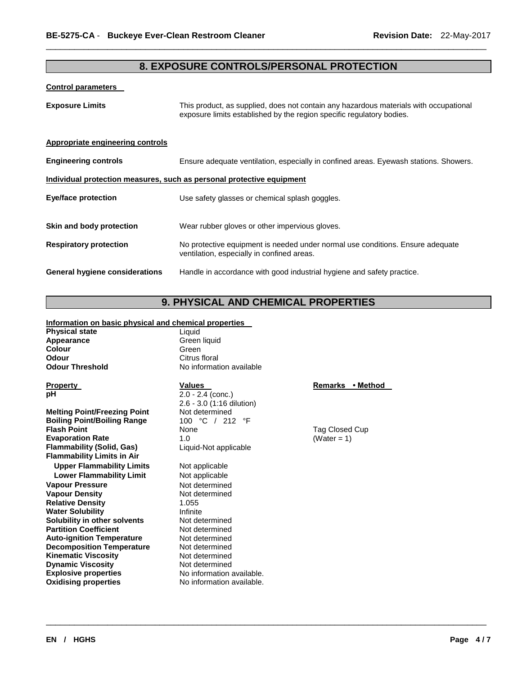#### **8. EXPOSURE CONTROLS/PERSONAL PROTECTION**

\_\_\_\_\_\_\_\_\_\_\_\_\_\_\_\_\_\_\_\_\_\_\_\_\_\_\_\_\_\_\_\_\_\_\_\_\_\_\_\_\_\_\_\_\_\_\_\_\_\_\_\_\_\_\_\_\_\_\_\_\_\_\_\_\_\_\_\_\_\_\_\_\_\_\_\_\_\_\_\_\_\_\_\_\_\_\_\_\_\_\_\_\_

#### **Control parameters**

| <b>Exposure Limits</b>                  | This product, as supplied, does not contain any hazardous materials with occupational<br>exposure limits established by the region specific regulatory bodies. |
|-----------------------------------------|----------------------------------------------------------------------------------------------------------------------------------------------------------------|
| <b>Appropriate engineering controls</b> |                                                                                                                                                                |
| <b>Engineering controls</b>             | Ensure adequate ventilation, especially in confined areas. Eyewash stations. Showers.                                                                          |
|                                         | Individual protection measures, such as personal protective equipment                                                                                          |
| <b>Eye/face protection</b>              | Use safety glasses or chemical splash goggles.                                                                                                                 |
| Skin and body protection                | Wear rubber gloves or other impervious gloves.                                                                                                                 |
| <b>Respiratory protection</b>           | No protective equipment is needed under normal use conditions. Ensure adequate<br>ventilation, especially in confined areas.                                   |
| General hygiene considerations          | Handle in accordance with good industrial hygiene and safety practice.                                                                                         |

## **9. PHYSICAL AND CHEMICAL PROPERTIES**

\_\_\_\_\_\_\_\_\_\_\_\_\_\_\_\_\_\_\_\_\_\_\_\_\_\_\_\_\_\_\_\_\_\_\_\_\_\_\_\_\_\_\_\_\_\_\_\_\_\_\_\_\_\_\_\_\_\_\_\_\_\_\_\_\_\_\_\_\_\_\_\_\_\_\_\_\_\_\_\_\_\_\_\_\_\_\_\_\_\_\_\_\_

#### **Information on basic physical and chemical properties**

| <b>Physical state</b>  |  |  |  |
|------------------------|--|--|--|
| Appearance             |  |  |  |
| Colour                 |  |  |  |
| Odour                  |  |  |  |
| <b>Odour Threshold</b> |  |  |  |

**Melting Point/Freezing Point** Not determined<br> **Boiling Point/Boiling Range** 100 °C / 212 °F **Boiling Point/Boiling Range Flash Point Evaporation Rate 1.0** (Water = 1) **Flammability (Solid, Gas)** Liquid-Not applicable **Flammability Limits in Air Upper Flammability Limits** Not applicable **Lower Flammability Limit** Not applicable **Vapour Pressure <b>Not determined**<br>
Vapour Density<br>
Vapour Density **Vapour Density** Not determined **Relative Density 1.055**<br> **Water Solubility 1.055 Water Solubility Solubility in other solvents Not determined**<br> **Partition Coefficient Not determined Partition Coefficient Auto-ignition Temperature** Not determined **Decomposition Temperature** Not determined **Kinematic Viscosity Not determined Dynamic Viscosity Not determined Explosive properties No information available.**<br> **Oxidising properties No information available.** 

Liquid **Green liquid Colour** Green **Citrus floral No information available** 

**Property**<br> **Property**<br> **PREMALLY ALLY AND METHOD VALUES**<br> **PREMALLY ALLY AND METHOD VALUES**<br> **PREMALLY ALLY AND METHOD VALUES**<br> **PREMALLY AND METHOD VALUES**<br> **PREMALLY ALLY AND METHOD VALUES**  $\overline{2.0 - 2.4}$  (conc.) 2.6 - 3.0 (1:16 dilution) **Flag Closed Cup Point 2** Tag Closed Cup

No information available.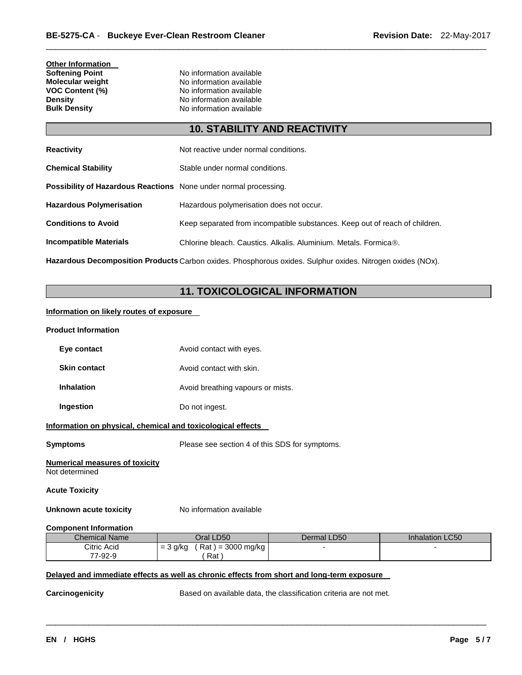# **Other Information**

**Softening Point No information available**<br> **Molecular weight No information available Molecular weight <br>VOC Content (%) <br>No information available<br>No information available VOC Content (%) No information available**<br> **Density No information available Density Density Density No information available Bulk Density No information available No information available** 

### **10. STABILITY AND REACTIVITY**

\_\_\_\_\_\_\_\_\_\_\_\_\_\_\_\_\_\_\_\_\_\_\_\_\_\_\_\_\_\_\_\_\_\_\_\_\_\_\_\_\_\_\_\_\_\_\_\_\_\_\_\_\_\_\_\_\_\_\_\_\_\_\_\_\_\_\_\_\_\_\_\_\_\_\_\_\_\_\_\_\_\_\_\_\_\_\_\_\_\_\_\_\_

| <b>Reactivity</b>                                                       | Not reactive under normal conditions.                                       |
|-------------------------------------------------------------------------|-----------------------------------------------------------------------------|
| <b>Chemical Stability</b>                                               | Stable under normal conditions.                                             |
| <b>Possibility of Hazardous Reactions</b> None under normal processing. |                                                                             |
| <b>Hazardous Polymerisation</b>                                         | Hazardous polymerisation does not occur.                                    |
| <b>Conditions to Avoid</b>                                              | Keep separated from incompatible substances. Keep out of reach of children. |
| <b>Incompatible Materials</b>                                           | Chlorine bleach. Caustics. Alkalis. Aluminium. Metals. Formica®.            |
|                                                                         |                                                                             |

**Hazardous Decomposition Products** Carbon oxides. Phosphorous oxides. Sulphur oxides. Nitrogen oxides (NOx).

## **11. TOXICOLOGICAL INFORMATION**

#### **Information on likely routes of exposure**

#### **Product Information**

| Eye contact         | Avoid contact with eyes.          |
|---------------------|-----------------------------------|
| <b>Skin contact</b> | Avoid contact with skin.          |
| <b>Inhalation</b>   | Avoid breathing vapours or mists. |
| Ingestion           | Do not ingest.                    |

#### **Information on physical, chemical and toxicological effects**

**Symptoms** Please see section 4 of this SDS for symptoms.

#### **Numerical measures of toxicity** Not determined

#### **Acute Toxicity**

**Unknown acute toxicity No information available** 

#### **Component Information**

| <b>Chemical Name</b> | Oral LD50                          | Dermal LD50 | <b>Inhalation LC50</b> |
|----------------------|------------------------------------|-------------|------------------------|
| Citric Acid          | Rat<br>= 3000 mg/kg<br>3 g/kg<br>= |             |                        |
| 77-92-9              | Rat                                |             |                        |

\_\_\_\_\_\_\_\_\_\_\_\_\_\_\_\_\_\_\_\_\_\_\_\_\_\_\_\_\_\_\_\_\_\_\_\_\_\_\_\_\_\_\_\_\_\_\_\_\_\_\_\_\_\_\_\_\_\_\_\_\_\_\_\_\_\_\_\_\_\_\_\_\_\_\_\_\_\_\_\_\_\_\_\_\_\_\_\_\_\_\_\_\_

#### **Delayed and immediate effects as well as chronic effects from short and long-term exposure**

**Carcinogenicity Based on available data, the classification criteria are not met.**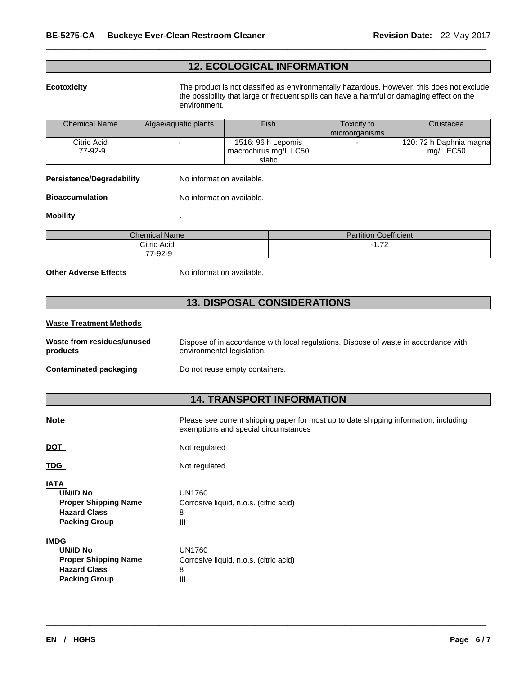#### **12. ECOLOGICAL INFORMATION**

\_\_\_\_\_\_\_\_\_\_\_\_\_\_\_\_\_\_\_\_\_\_\_\_\_\_\_\_\_\_\_\_\_\_\_\_\_\_\_\_\_\_\_\_\_\_\_\_\_\_\_\_\_\_\_\_\_\_\_\_\_\_\_\_\_\_\_\_\_\_\_\_\_\_\_\_\_\_\_\_\_\_\_\_\_\_\_\_\_\_\_\_\_

**Ecotoxicity** The product is not classified as environmentally hazardous. However, this does not exclude the possibility that large or frequent spills can have a harmful or damaging effect on the environment.

| <b>Chemical Name</b> | Algae/aguatic plants | Fish                  | Toxicity to    | Crustacea                |
|----------------------|----------------------|-----------------------|----------------|--------------------------|
|                      |                      |                       | microorganisms |                          |
| Citric Acid          | -                    | 1516: 96 h Lepomis    |                | 120: 72 h Daphnia magnal |
| 77-92-9              |                      | macrochirus mg/L LC50 |                | mg/L EC50                |
|                      |                      | static                |                |                          |

**Persistence/Degradability** No information available.

**Bioaccumulation No information available.** 

#### **Mobility** .

| <b>Chemical Name</b> | <b>Partition Coefficient</b>     |
|----------------------|----------------------------------|
| Citric Acid          | $\overline{z}$<br>. <i>. .</i> . |
| 77-92-9              |                                  |

**Other Adverse Effects** No information available.

#### **13. DISPOSAL CONSIDERATIONS**

#### **Waste Treatment Methods**

| Waste from residues/unused | Dispose of in accordance with local regulations. Dispose of waste in accordance with |  |  |  |  |
|----------------------------|--------------------------------------------------------------------------------------|--|--|--|--|
| products                   | environmental legislation.                                                           |  |  |  |  |
| Contaminated packaging     | Do not reuse empty containers.                                                       |  |  |  |  |

#### **14. TRANSPORT INFORMATION**

| <b>Note</b>                                                                                                  | Please see current shipping paper for most up to date shipping information, including<br>exemptions and special circumstances |  |  |  |
|--------------------------------------------------------------------------------------------------------------|-------------------------------------------------------------------------------------------------------------------------------|--|--|--|
| DOT                                                                                                          | Not regulated                                                                                                                 |  |  |  |
| TDG                                                                                                          | Not regulated                                                                                                                 |  |  |  |
| <b>IATA</b><br><b>UN/ID No</b><br><b>Proper Shipping Name</b><br><b>Hazard Class</b><br><b>Packing Group</b> | UN1760<br>Corrosive liquid, n.o.s. (citric acid)<br>8<br>Ш                                                                    |  |  |  |
| <b>IMDG</b><br>UN/ID No<br><b>Proper Shipping Name</b><br><b>Hazard Class</b><br><b>Packing Group</b>        | UN1760<br>Corrosive liquid, n.o.s. (citric acid)<br>8<br>Ш                                                                    |  |  |  |